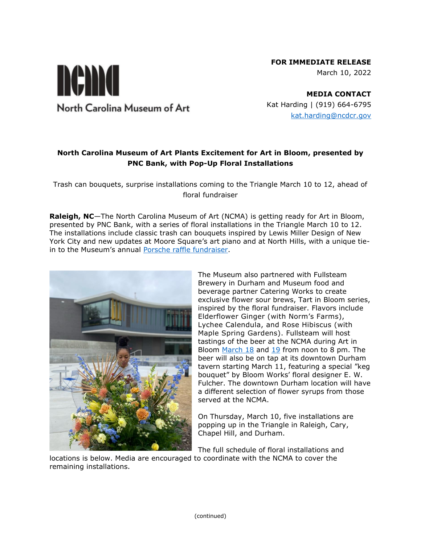# **FOR IMMEDIATE RELEASE**

March 10, 2022

North Carolina Museum of Art

nema

**MEDIA CONTACT** Kat Harding | (919) 664-6795 [kat.harding@ncdcr.gov](mailto:kat.harding@ncdcr.gov)

# **North Carolina Museum of Art Plants Excitement for Art in Bloom, presented by PNC Bank, with Pop-Up Floral Installations**

Trash can bouquets, surprise installations coming to the Triangle March 10 to 12, ahead of floral fundraiser

**Raleigh, NC**—The North Carolina Museum of Art (NCMA) is getting ready for Art in Bloom, presented by PNC Bank, with a series of floral installations in the Triangle March 10 to 12. The installations include classic trash can bouquets inspired by Lewis Miller Design of New York City and new updates at Moore Square's art piano and at North Hills, with a unique tiein to the Museum's annual [Porsche raffle fundraiser.](https://ncartmuseum.org/go-green-porsche-taycan-4-cross-turismo-raffle/)



The Museum also partnered with Fullsteam Brewery in Durham and Museum food and beverage partner Catering Works to create exclusive flower sour brews, Tart in Bloom series, inspired by the floral fundraiser. Flavors include Elderflower Ginger (with Norm's Farms), Lychee Calendula, and Rose Hibiscus (with Maple Spring Gardens). Fullsteam will host tastings of the beer at the NCMA during Art in Bloom [March 18](https://ncartmuseum.org/events/floral-flights-with-fullsteam/?occurrence=2022-03-18) and [19](https://ncartmuseum.org/events/floral-flights-with-fullsteam-2/) from noon to 8 pm. The beer will also be on tap at its downtown Durham tavern starting March 11, featuring a special "keg bouquet" by Bloom Works' floral designer E. W. Fulcher. The downtown Durham location will have a different selection of flower syrups from those served at the NCMA.

On Thursday, March 10, five installations are popping up in the Triangle in Raleigh, Cary, Chapel Hill, and Durham.

The full schedule of floral installations and locations is below. Media are encouraged to coordinate with the NCMA to cover the remaining installations.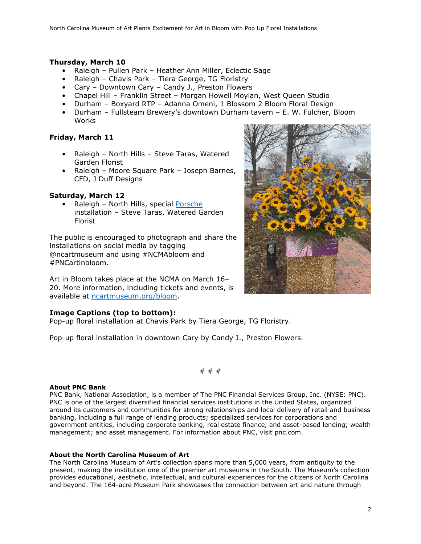## **Thursday, March 10**

- Raleigh Pullen Park Heather Ann Miller, Eclectic Sage
- Raleigh Chavis Park Tiera George, TG Floristry
- Cary Downtown Cary Candy J., Preston Flowers
- Chapel Hill Franklin Street Morgan Howell Moylan, West Queen Studio
- Durham Boxyard RTP Adanna Omeni, 1 Blossom 2 Bloom Floral Design
- Durham Fullsteam Brewery's downtown Durham tavern E. W. Fulcher, Bloom **Works**

# **Friday, March 11**

- Raleigh North Hills Steve Taras, Watered Garden Florist
- Raleigh Moore Square Park Joseph Barnes, CFD, J Duff Designs

## **Saturday, March 12**

Raleigh - North Hills, special [Porsche](file:///C:/Users/kharding1/Downloads/ncartmuseum.org/porsche) installation – Steve Taras, Watered Garden Florist

The public is encouraged to photograph and share the installations on social media by tagging @ncartmuseum and using #NCMAbloom and #PNCartinbloom.

Art in Bloom takes place at the NCMA on March 16– 20. More information, including tickets and events, is available at [ncartmuseum.org/bloom.](https://ncartmuseum.org/series/art-in-bloom-presented-by-pnc/)

#### **Image Captions (top to bottom):**

Pop-up floral installation at Chavis Park by Tiera George, TG Floristry.

Pop-up floral installation in downtown Cary by Candy J., Preston Flowers.

# # #

#### **About PNC Bank**

PNC Bank, National Association, is a member of The PNC Financial Services Group, Inc. (NYSE: PNC). PNC is one of the largest diversified financial services institutions in the United States, organized around its customers and communities for strong relationships and local delivery of retail and business banking, including a full range of lending products; specialized services for corporations and government entities, including corporate banking, real estate finance, and asset-based lending; wealth management; and asset management. For information about PNC, visit pnc.com.

#### **About the North Carolina Museum of Art**

The North Carolina Museum of Art's collection spans more than 5,000 years, from antiquity to the present, making the institution one of the premier art museums in the South. The Museum's collection provides educational, aesthetic, intellectual, and cultural experiences for the citizens of North Carolina and beyond. The 164-acre Museum Park showcases the connection between art and nature through